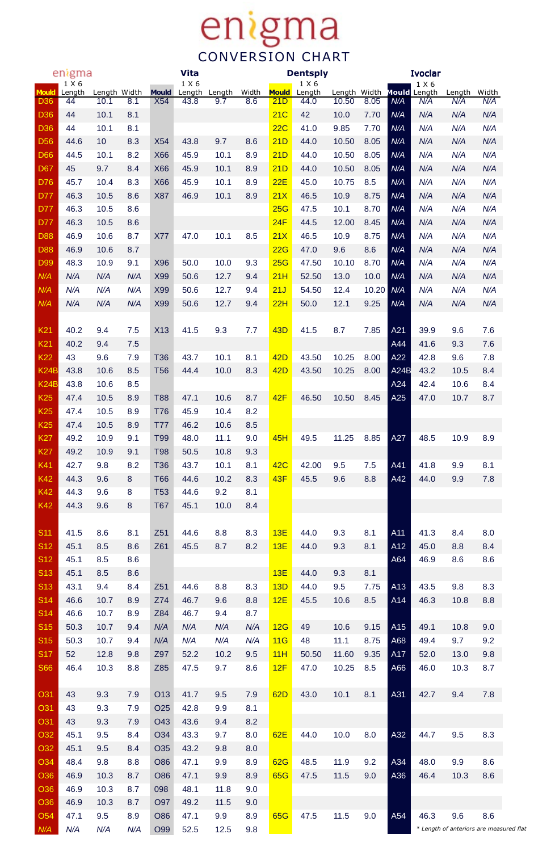## **enigma**

|                 | enigma          |              |     |                 | <b>Vita</b>     |        |       |              | <b>Dentsply</b> |              |           |                 | <b>Ivoclar</b>               |        |                                         |
|-----------------|-----------------|--------------|-----|-----------------|-----------------|--------|-------|--------------|-----------------|--------------|-----------|-----------------|------------------------------|--------|-----------------------------------------|
| <b>Mould</b>    | 1 X 6<br>Length | Length Width |     | <b>Mould</b>    | 1 X 6<br>Length | Length | Width | <b>Mould</b> | 1 X 6<br>Length | Length Width |           |                 | 1 X 6<br><b>Mould</b> Length | Length | Width                                   |
| <b>D36</b>      | 44              | 10.1         | 8.1 | <b>X54</b>      | 43.8            | 9.7    | 8.6   | 21D          | 44.0            | 10.50        | 8.05      | N/A             | N/A                          | N/A    | N/A                                     |
| <b>D36</b>      | 44              | 10.1         | 8.1 |                 |                 |        |       | 21C          | 42              | 10.0         | 7.70      | N/A             | N/A                          | N/A    | N/A                                     |
| <b>D36</b>      | 44              | 10.1         | 8.1 |                 |                 |        |       | 22C          | 41.0            | 9.85         | 7.70      | N/A             | N/A                          | N/A    | N/A                                     |
| <b>D56</b>      | 44.6            | 10           | 8.3 | X54             | 43.8            | 9.7    | 8.6   | 21D          | 44.0            | 10.50        | 8.05      | N/A             | N/A                          | N/A    | N/A                                     |
| <b>D66</b>      | 44.5            | 10.1         | 8.2 | <b>X66</b>      | 45.9            | 10.1   | 8.9   | 21D          | 44.0            | 10.50        | 8.05      | N/A             | N/A                          | N/A    | N/A                                     |
| <b>D67</b>      | 45              | 9.7          | 8.4 | <b>X66</b>      | 45.9            | 10.1   | 8.9   | 21D          | 44.0            | 10.50        | 8.05      | N/A             | N/A                          | N/A    | N/A                                     |
| <b>D76</b>      | 45.7            | 10.4         | 8.3 | X66             | 45.9            | 10.1   | 8.9   | 22E          | 45.0            | 10.75        | 8.5       | N/A             | N/A                          | N/A    | N/A                                     |
| <b>D77</b>      | 46.3            | 10.5         | 8.6 | X87             | 46.9            | 10.1   | 8.9   | 21X          | 46.5            | 10.9         | 8.75      | N/A             | N/A                          | N/A    | N/A                                     |
| <b>D77</b>      | 46.3            | 10.5         | 8.6 |                 |                 |        |       | 25G          | 47.5            | 10.1         | 8.70      | N/A             | N/A                          | N/A    | N/A                                     |
| <b>D77</b>      | 46.3            | 10.5         | 8.6 |                 |                 |        |       | 24F          | 44.5            | 12.00        | 8.45      | N/A             | N/A                          | N/A    | N/A                                     |
| <b>D88</b>      | 46.9            | 10.6         | 8.7 | <b>X77</b>      | 47.0            | 10.1   | 8.5   | 21X          | 46.5            | 10.9         | 8.75      | N/A             | N/A                          | N/A    | N/A                                     |
| <b>D88</b>      | 46.9            | 10.6         | 8.7 |                 |                 |        |       | 22G          | 47.0            | 9.6          | 8.6       | N/A             | N/A                          | N/A    | N/A                                     |
| D99             | 48.3            | 10.9         | 9.1 | X96             | 50.0            | 10.0   | 9.3   | 25G          | 47.50           | 10.10        | 8.70      | N/A             | N/A                          | N/A    | N/A                                     |
| N/A             | N/A             | N/A          | N/A | <b>X99</b>      | 50.6            | 12.7   | 9.4   | 21H          | 52.50           | 13.0         | 10.0      | N/A             | N/A                          | N/A    | N/A                                     |
| N/A             | N/A             | N/A          | N/A | X99             | 50.6            | 12.7   | 9.4   | 21J          | 54.50           | 12.4         | 10.20 N/A |                 | N/A                          | N/A    | N/A                                     |
| N/A             | N/A             | N/A          | N/A | X99             | 50.6            | 12.7   | 9.4   | 22H          | 50.0            | 12.1         | 9.25      | N/A             | N/A                          | N/A    | N/A                                     |
| K <sub>21</sub> | 40.2            | 9.4          | 7.5 | <b>X13</b>      | 41.5            | 9.3    | 7.7   | <b>43D</b>   | 41.5            | 8.7          | 7.85      | A21             | 39.9                         | 9.6    | 7.6                                     |
| K <sub>21</sub> | 40.2            | 9.4          | 7.5 |                 |                 |        |       |              |                 |              |           | A44             | 41.6                         | 9.3    | 7.6                                     |
| <b>K22</b>      | 43              | 9.6          | 7.9 | <b>T36</b>      | 43.7            | 10.1   | 8.1   | <b>42D</b>   | 43.50           | 10.25        | 8.00      | A22             | 42.8                         | 9.6    | 7.8                                     |
| K24B            | 43.8            | 10.6         | 8.5 | <b>T56</b>      | 44.4            | 10.0   | 8.3   | <b>42D</b>   | 43.50           | 10.25        | 8.00      | A24B            | 43.2                         | 10.5   | 8.4                                     |
| <b>K24B</b>     | 43.8            | 10.6         | 8.5 |                 |                 |        |       |              |                 |              |           | A24             | 42.4                         | 10.6   | 8.4                                     |
| <b>K25</b>      | 47.4            | 10.5         | 8.9 | <b>T88</b>      | 47.1            | 10.6   | 8.7   | <b>42F</b>   | 46.50           | 10.50        | 8.45      | A25             | 47.0                         | 10.7   | 8.7                                     |
| <b>K25</b>      | 47.4            | 10.5         | 8.9 | <b>T76</b>      | 45.9            | 10.4   | 8.2   |              |                 |              |           |                 |                              |        |                                         |
| <b>K25</b>      | 47.4            | 10.5         | 8.9 | T77             | 46.2            | 10.6   | 8.5   |              |                 |              |           |                 |                              |        |                                         |
| <b>K27</b>      | 49.2            | 10.9         | 9.1 | T <sub>99</sub> | 48.0            | 11.1   | 9.0   | 45H          | 49.5            | 11.25        | 8.85      | A27             | 48.5                         | 10.9   | 8.9                                     |
| <b>K27</b>      | 49.2            | 10.9         | 9.1 | <b>T98</b>      | 50.5            | 10.8   | 9.3   |              |                 |              |           |                 |                              |        |                                         |
| K41             | 42.7            | 9.8          | 8.2 | <b>T36</b>      | 43.7            | 10.1   | 8.1   | <b>42C</b>   | 42.00           | 9.5          | 7.5       | A41             | 41.8                         | 9.9    | 8.1                                     |
| <b>K42</b>      | 44.3            | 9.6          | 8   | T66             | 44.6            | 10.2   | 8.3   | 43F          | 45.5            | 9.6          | 8.8       | A42             | 44.0                         | 9.9    | 7.8                                     |
| <b>K42</b>      | 44.3            | 9.6          | 8   | T <sub>53</sub> | 44.6            | 9.2    | 8.1   |              |                 |              |           |                 |                              |        |                                         |
| <b>K42</b>      | 44.3            | 9.6          | 8   | <b>T67</b>      | 45.1            | 10.0   | 8.4   |              |                 |              |           |                 |                              |        |                                         |
| <b>S11</b>      | 41.5            | 8.6          | 8.1 | Z <sub>51</sub> | 44.6            | 8.8    | 8.3   | 13E          | 44.0            | 9.3          | 8.1       | A11             | 41.3                         | 8.4    | 8.0                                     |
| <b>S12</b>      | 45.1            | 8.5          | 8.6 | Z61             | 45.5            | 8.7    | 8.2   | 13E          | 44.0            | 9.3          | 8.1       | A12             | 45.0                         | 8.8    | 8.4                                     |
| <b>S12</b>      | 45.1            | 8.5          | 8.6 |                 |                 |        |       |              |                 |              |           | A64             | 46.9                         | 8.6    | 8.6                                     |
| <b>S13</b>      | 45.1            | 8.5          | 8.6 |                 |                 |        |       | 13E          | 44.0            | 9.3          | 8.1       |                 |                              |        |                                         |
| <b>S13</b>      | 43.1            | 9.4          | 8.4 | Z51             | 44.6            | 8.8    | 8.3   | 13D          | 44.0            | 9.5          | 7.75      | A <sub>13</sub> | 43.5                         | 9.8    | 8.3                                     |
| S14             | 46.6            | 10.7         | 8.9 | Z74             | 46.7            | 9.6    | 8.8   | 12E          | 45.5            | 10.6         | 8.5       | A14             | 46.3                         | 10.8   | 8.8                                     |
| <b>S14</b>      | 46.6            | 10.7         | 8.9 | Z84             | 46.7            | 9.4    | 8.7   |              |                 |              |           |                 |                              |        |                                         |
| S <sub>15</sub> | 50.3            | 10.7         | 9.4 | N/A             | N/A             | N/A    | N/A   | 12G          | 49              | 10.6         | 9.15      | A15             | 49.1                         | 10.8   | 9.0                                     |
| S <sub>15</sub> | 50.3            | 10.7         | 9.4 | N/A             | N/A             | N/A    | N/A   | 11G          | 48              | 11.1         | 8.75      | A68             | 49.4                         | 9.7    | 9.2                                     |
| <b>S17</b>      | 52              | 12.8         | 9.8 | Z97             | 52.2            | 10.2   | 9.5   | 11H          | 50.50           | 11.60        | 9.35      | A17             | 52.0                         | 13.0   | 9.8                                     |
| <b>S66</b>      | 46.4            | 10.3         | 8.8 | Z85             | 47.5            | 9.7    | 8.6   | 12F          | 47.0            | 10.25        | 8.5       | A66             | 46.0                         | 10.3   | 8.7                                     |
| O31             | 43              | 9.3          | 7.9 | O13             | 41.7            | 9.5    | 7.9   | 62D          | 43.0            | 10.1         | 8.1       | A31             | 42.7                         | 9.4    | 7.8                                     |
| O31             | 43              | 9.3          | 7.9 | O <sub>25</sub> | 42.8            | 9.9    | 8.1   |              |                 |              |           |                 |                              |        |                                         |
| O31             | 43              | 9.3          | 7.9 | O43             | 43.6            | 9.4    | 8.2   |              |                 |              |           |                 |                              |        |                                         |
| O32             | 45.1            | 9.5          | 8.4 | O34             | 43.3            | 9.7    | 8.0   | <b>62E</b>   | 44.0            | 10.0         | 8.0       | A32             | 44.7                         | 9.5    | 8.3                                     |
| O32             | 45.1            | 9.5          | 8.4 | O35             | 43.2            | 9.8    | 8.0   |              |                 |              |           |                 |                              |        |                                         |
| O34             | 48.4            | 9.8          | 8.8 | <b>O86</b>      | 47.1            | 9.9    | 8.9   | <b>62G</b>   | 48.5            | 11.9         | 9.2       | A34             | 48.0                         | 9.9    | 8.6                                     |
| O <sub>36</sub> | 46.9            | 10.3         | 8.7 | <b>O86</b>      | 47.1            | 9.9    | 8.9   | <b>65G</b>   | 47.5            | 11.5         | 9.0       | A36             | 46.4                         | 10.3   | 8.6                                     |
| O <sub>36</sub> | 46.9            | 10.3         | 8.7 | 098             | 48.1            | 11.8   | 9.0   |              |                 |              |           |                 |                              |        |                                         |
| O <sub>36</sub> | 46.9            | 10.3         | 8.7 | O97             | 49.2            | 11.5   | 9.0   |              |                 |              |           |                 |                              |        |                                         |
| O <sub>54</sub> | 47.1            | 9.5          | 8.9 | <b>O86</b>      | 47.1            | 9.9    | 8.9   | <b>65G</b>   | 47.5            | 11.5         | 9.0       | A54             | 46.3                         | 9.6    | 8.6                                     |
| N/A             | N/A             | N/A          | N/A | O99             | 52.5            | 12.5   | 9.8   |              |                 |              |           |                 |                              |        | * Length of anteriors are measured flat |
|                 |                 |              |     |                 |                 |        |       |              |                 |              |           |                 |                              |        |                                         |